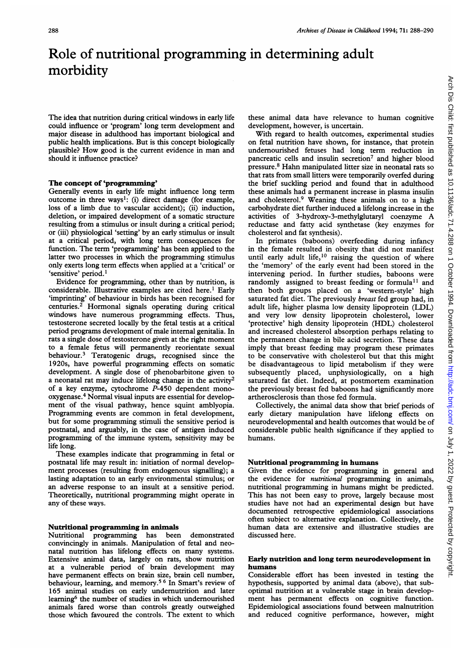# Role of nutritional programming in determining adult morbidity

The idea that nutrition during critical windows in early life could influence or 'program' long term development and major disease in adulthood has important biological and public health implications. But is this concept biologically plausible? How good is the current evidence in man and should it influence practice?

# The concept of 'programming'

Generally events in early life might influence long term outcome in three ways': (i) direct damage (for example, loss of a limb due to vascular accident); (ii) induction, deletion, or impaired development of a somatic structure resulting from a stimulus or insult during a critical period; or (iii) physiological 'setting' by an early stimulus or insult at a critical period, with long term consequences for function. The term 'programming' has been applied to the latter two processes in which the programming stimulus only exerts long term effects when applied at a 'critical' or 'sensitive' period.'

Evidence for programming, other than by nutrition, is considerable. Illustrative examples are cited here.' Early 'imprinting' of behaviour in birds has been recognised for centuries.2 Hormonal signals operating during critical windows have numerous programming effects. Thus, testosterone secreted locally by the fetal testis at a critical period programs development of male internal genitalia. In rats a single dose of testosterone given at the right moment to a female fetus will permanently reorientate sexual behaviour.3 Teratogenic drugs, recognised since the 1920s, have powerful programming effects on somatic development. A single dose of phenobarbitone given to a neonatal rat may induce lifelong change in the activity<sup>2</sup> of a key enzyme, cytochrome P-450 dependent monooxygenase.4 Normal visual inputs are essential for development of the visual pathway, hence squint amblyopia. Programming events are common in fetal development, but for some programming stimuli the sensitive period is postnatal, and arguably, in the case of antigen induced programming of the immune system, sensitivity may be life long.

These examples indicate that programming in fetal or postnatal life may result in: initiation of normal development processes (resulting from endogenous signalling); a lasting adaptation to an early environmental stimulus; or an adverse response to an insult at a sensitive period. Theoretically, nutritional programming might operate in any of these ways.

# Nutritional programming in animals

Nutritional programming has been demonstrated convincingly in animals. Manipulation of fetal and neonatal nutrition has lifelong effects on many systems. Extensive animal data, largely on rats, show nutrition at a vulnerable period of brain development may have permanent effects on brain size, brain cell number, behaviour, learning, and memory.<sup>56</sup> In Smart's review of 165 animal studies on early undernutrition and later learning6 the number of studies in which undernourished animals fared worse than controls greatly outweighed those which favoured the controls. The extent to which these animal data have relevance to human cognitive development, however, is uncertain.

With regard to health outcomes, experimental studies on fetal nutrition have shown, for instance, that protein undernourished fetuses had long term reduction in pancreatic cells and insulin secretion<sup>7</sup> and higher blood pressure.8 Hahn manipulated litter size in neonatal rats so that rats from small litters were temporarily overfed during the brief suckling period and found that in adulthood these animals had a permanent increase in plasma insulin and cholesterol.9 Weaning these animals on to a high carbohydrate diet further induced a lifelong increase in the activities of 3-hydroxy-3-methylglutaryl coenzyme A reductase and fatty acid synthetase (key enzymes for cholesterol and fat synthesis).

In primates (baboons) overfeeding during infancy in the female resulted in obesity that did not manifest until early adult life, $10$  raising the question of where the 'memory' of the early event had been stored in the intervening period. In further studies, baboons were randomly assigned to breast feeding or formula<sup>11</sup> and then both groups placed on a 'western-style' high saturated fat diet. The previously breast fed group had, in adult life, higher plasma low density lipoprotein (LDL) and very low density lipoprotein cholesterol, lower 'protective' high density lipoprotein (HDL) cholesterol and increased cholesterol absorption perhaps relating to the permanent change in bile acid secretion. These data imply that breast feeding may program these primates to be conservative with cholesterol but that this might be disadvantageous to lipid metabolism if they were subsequently placed, unphysiologically, on a high saturated fat diet. Indeed, at postmortem examination the previously breast fed baboons had significantly more artherosclerosis than those fed formula.

Collectively, the animal data show that brief periods of early dietary manipulation have lifelong effects on neurodevelopmental and health outcomes that would be of considerable public health significance if they applied to humans.

## Nutritional programming in humans

Given the evidence for programming in general and the evidence for *nutritional* programming in animals, nutritional programming in humans might be predicted. This has not been easy to prove, largely because most studies have not had an experimental design but have documented retrospective epidemiological associations often subject to alternative explanation. Collectively, the human data are extensive and illustrative studies are discussed here.

#### Early nutrition and long term neurodevelopment in humans

Considerable effort has been invested in testing the hypothesis, supported by animal data (above), that suboptimal nutrition at a vulnerable stage in brain development has permanent effects on cognitive function. Epidemiological associations found between malnutrition and reduced cognitive performance, however, might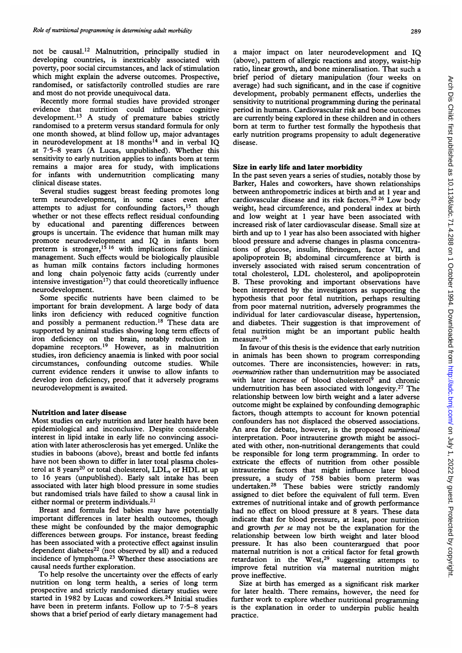not be causal.'2 Malnutrition, principally studied in developing countries, is inextricably associated with poverty, poor social circumstances, and lack of stimulation which might explain the adverse outcomes. Prospective, randomised, or satisfactorily controlled studies are rare and most do not provide unequivocal data.

Recently more formal studies have provided stronger evidence that nutrition could influence cognitive<br>development.<sup>13</sup> A study of premature babies strictly randomised to a preterm versus standard formula for only one month showed, at blind follow up, major advantages in neurodevelopment at 18 months<sup>14</sup> and in verbal  $\overline{IQ}$ at 7-5-8 years (A Lucas, unpublished). Whether this sensitivity to early nutrition applies to infants born at term remains a major area for study, with implications for infants with undernutrition complicating many clinical disease states.

Several studies suggest breast feeding promotes long term neurodevelopment, in some cases even after attempts to adjust for confounding factors,<sup>15</sup> though whether or not these effects reflect residual confounding by educational and parenting differences between groups is uncertain. The evidence that human milk may promote neurodevelopment and IQ in infants born preterm is stronger,<sup>15 16</sup> with implications for clinical management. Such effects would be biologically plausible as human milk contains factors including hormones and long chain polyenoic fatty acids (currently under intensive investigation<sup>17</sup>) that could theoretically influence neurodevelopment.

Some specific nutrients have been claimed to be important for brain development. A large body of data links iron deficiency with reduced cognitive function and possibly a permanent reduction.<sup>18</sup> These data are supported by animal studies showing long term effects of iron deficiency on the brain, notably reduction in dopamine receptors.'9 However, as in malnutrition studies, iron deficiency anaemia is linked with poor social circumstances, confounding outcome studies. While current evidence renders it unwise to allow infants to develop iron deficiency, proof that it adversely programs neurodevelopment is awaited.

## Nutrition and later disease

Most studies on early nutrition and later health have been epidemiological and inconclusive. Despite considerable interest in lipid intake in early life no convincing association with later atherosclerosis has yet emerged. Unlike the studies in baboons (above), breast and bottle fed infants have not been shown to differ in later total plasma cholesterol at 8 years<sup>20</sup> or total cholesterol, LDL, or HDL at up to 16 years (unpublished). Early salt intake has been associated with later high blood pressure in some studies but randomised trials have failed to show a causal link in either normal or preterm individuals.<sup>21</sup>

Breast and formula fed babies may have potentially important differences in later health outcomes, though these might be confounded by the major demographic differences between groups. For instance, breast feeding has been associated with a protective effect against insulin dependent diabetes $^{22}$  (not observed by all) and a reduced incidence of lymphoma.23 Whether these associations are causal needs further exploration.

To help resolve the uncertainty over the effects of early nutrition on long term health, a series of long term prospective and strictly randomised dietary studies were started in 1982 by Lucas and coworkers.<sup>24</sup> Initial studies have been in preterm infants. Follow up to 7.5-8 years shows that a brief period of early dietary management had

a major impact on later neurodevelopment and IQ (above), pattern of allergic reactions and atopy, waist-hip ratio, linear growth, and bone mineralisation. That such a brief period of dietary manipulation (four weeks on average) had such significant, and in the case if cognitive development, probably permanent effects, underlies the sensitivity to nutritional programming during the perinatal period in humans. Cardiovascular risk and bone outcomes are currently being explored in these children and in others born at term to further test formally the hypothesis that early nutrition programs propensity to adult degenerative disease.

## Size in early life and later morbidity

In the past seven years a series of studies, notably those by Barker, Hales and coworkers, have shown relationships between anthropometric indices at birth and at <sup>1</sup> year and cardiovascular disease and its risk factors.25 <sup>26</sup> Low body weight, head circumference, and ponderal index at birth and low weight at <sup>1</sup> year have been associated with increased risk of later cardiovascular disease. Small size at birth and up to <sup>1</sup> year has also been associated with higher blood pressure and adverse changes in plasma concentrations of glucose, insulin, fibrinogen, factor VII, and apolipoprotein B; abdominal circumference at birth is inversely associated with raised serum concentration of total cholesterol, LDL cholesterol, and apolipoprotein B. These provoking and important observations have been interpreted by the investigators as supporting the hypothesis that poor fetal nutrition, perhaps resulting from poor maternal nutrition, adversely programmes the individual for later cardiovascular disease, hypertension, and diabetes. Their suggestion is that improvement of fetal nutrition might be an important public health measure.26

In favour of this thesis is the evidence that early nutrition in animals has been shown to program corresponding outcomes. There are inconsistencies, however: in rats, overnutrition rather than undernutrition may be associated with later increase of blood cholesterol<sup>9</sup> and chronic undernutrition has been associated with longevity.27 The relationship between low birth weight and a later adverse outcome might be explained by confounding demographic factors, though attempts to account for known potential confounders has not displaced the observed associations. An area for debate, however, is the proposed nutritional interpretation. Poor intrauterine growth might be associated with other, non-nutritional derangements that could be responsible for long term programming. In order to extricate the effects of nutrition from other possible intrauterine factors that might influence later blood pressure, a study of 758 babies born preterm was undertaken.28 These babies were strictly randomly assigned to diet before the equivalent of full term. Even extremes of nutritional intake and of growth performance had no effect on blood pressure at 8 years. These data indicate that for blood pressure, at least, poor nutrition and growth per se may not be the explanation for the relationship between low birth weight and later blood pressure. It has also been counterargued that poor maternal nutrition is not a critical factor for fetal growth retardation in the West, $29$  suggesting attempts to improve fetal nutrition via maternal nutrition might prove ineffective.

Size at birth has emerged as a significant risk marker for later health. There remains, however, the need for further work to explore whether nutritional programming is the explanation in order to underpin public health practice.